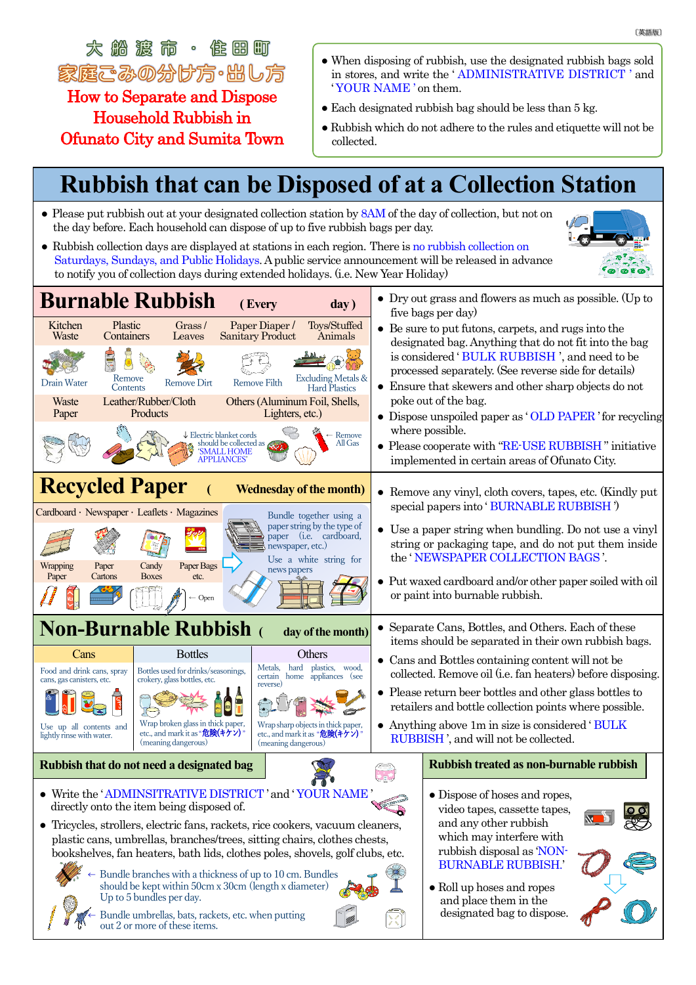太然渡而。作用町 家庭ごみの分け方・出し方

How to Separate and Dispose Household Rubbish in Ofunato City and Sumita Town

- When disposing of rubbish, use the designated rubbish bags sold in stores, and write the ' ADMINISTRATIVE DISTRICT ' and ' YOUR NAME ' on them.
- $\bullet$  Each designated rubbish bag should be less than 5 kg.
- Rubbish which do not adhere to the rules and etiquette will not be collected.

## **Rubbish that can be Disposed of at a Collection Station**

- Please put rubbish out at your designated collection station by 8AM of the day of collection, but not on the day before. Each household can dispose of up to five rubbish bags per day.
- Rubbish collection days are displayed at stations in each region. There is no rubbish collection on Saturdays, Sundays, and Public Holidays.A public service announcement will be released in advance to notify you of collection days during extended holidays. (i.e. New Year Holiday)